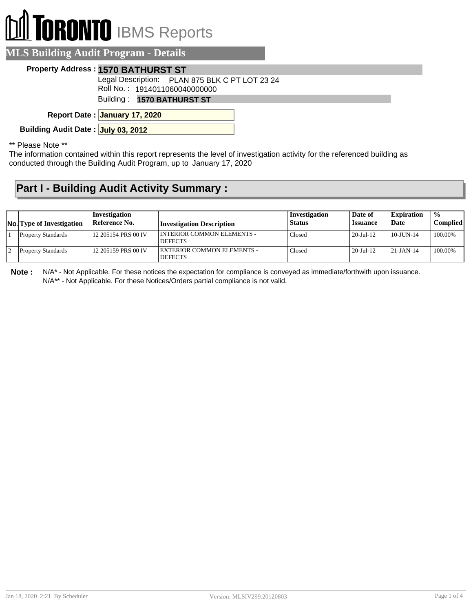# **TORONTO** IBMS Reports

|  | <b>MLS Building Audit Program - Details</b> |  |
|--|---------------------------------------------|--|
|  |                                             |  |

#### **Property Address : 1570 BATHURST ST**

Legal Description: PLAN 875 BLK C PT LOT 23 24

Roll No. : 1914011060040000000

Building : **1570 BATHURST ST**

**January 17, 2020 Report Date :**

**Building Audit Date : July 03, 2012**

\*\* Please Note \*\*

The information contained within this report represents the level of investigation activity for the referenced building as conducted through the Building Audit Program, up to January 17, 2020

### **Part I - Building Audit Activity Summary :**

| <b>No.</b> Type of Investigation | Investigation<br>Reference No. | Investigation Description                      | Investigation<br><b>Status</b> | Date of<br><i><b>Issuance</b></i> | <b>Expiration</b><br>Date | $\frac{0}{0}$<br>Complied |
|----------------------------------|--------------------------------|------------------------------------------------|--------------------------------|-----------------------------------|---------------------------|---------------------------|
| <b>Property Standards</b>        | 12 205154 PRS 00 IV            | I INTERIOR COMMON ELEMENTS -<br><b>DEFECTS</b> | Closed                         | $20$ -Jul-12                      | $10 - J$ UN $-14$         | 100.00%                   |
| <b>Property Standards</b>        | 12 205159 PRS 00 IV            | EXTERIOR COMMON ELEMENTS -<br><b>DEFECTS</b>   | Closed                         | $20 -$ Jul-12                     | $21 - JAN - 14$           | 100.00%                   |

**Note :** N/A\* - Not Applicable. For these notices the expectation for compliance is conveyed as immediate/forthwith upon issuance. N/A\*\* - Not Applicable. For these Notices/Orders partial compliance is not valid.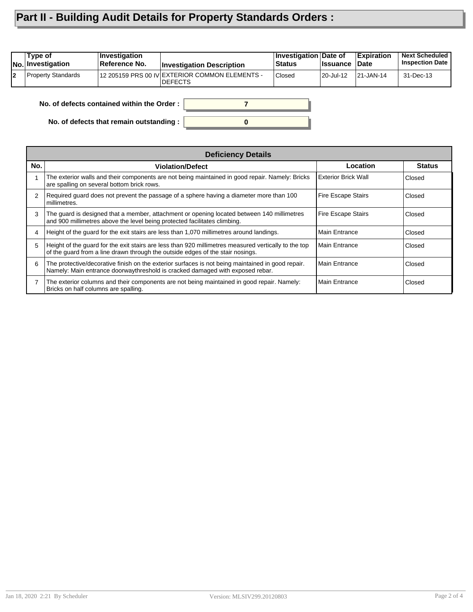## **Part II - Building Audit Details for Property Standards Orders :**

|    | Type of<br><b>No. Investigation</b>        | Investigation<br>Reference No. | <b>Investigation Description</b>                                 | Investigation Date of<br>Status | <b>Issuance</b> | Expiration<br>Date | <b>Next Scheduled</b><br><b>Inspection Date</b> |
|----|--------------------------------------------|--------------------------------|------------------------------------------------------------------|---------------------------------|-----------------|--------------------|-------------------------------------------------|
| l2 | Property Standards                         |                                | 12 205159 PRS 00 IV EXTERIOR COMMON ELEMENTS -<br><b>DEFECTS</b> | <b>Closed</b>                   | 20-Jul-12       | $ 21 - JAN - 14 $  | 31-Dec-13                                       |
|    | No. of defects contained within the Order: |                                |                                                                  |                                 |                 |                    |                                                 |

**0**

**No. of defects contained within the Order :**

**No. of defects that remain outstanding :**

|     | <b>Deficiency Details</b>                                                                                                                                                              |                            |               |  |  |  |  |
|-----|----------------------------------------------------------------------------------------------------------------------------------------------------------------------------------------|----------------------------|---------------|--|--|--|--|
| No. | <b>Violation/Defect</b>                                                                                                                                                                | ∟ocation                   | <b>Status</b> |  |  |  |  |
|     | The exterior walls and their components are not being maintained in good repair. Namely: Bricks<br>are spalling on several bottom brick rows.                                          | <b>Exterior Brick Wall</b> | Closed        |  |  |  |  |
|     | Required guard does not prevent the passage of a sphere having a diameter more than 100<br>millimetres.                                                                                | <b>Fire Escape Stairs</b>  | Closed        |  |  |  |  |
| 3   | The quard is designed that a member, attachment or opening located between 140 millimetres<br>and 900 millimetres above the level being protected facilitates climbing.                | <b>Fire Escape Stairs</b>  | Closed        |  |  |  |  |
|     | Height of the quard for the exit stairs are less than 1,070 millimetres around landings.                                                                                               | <b>Main Entrance</b>       | Closed        |  |  |  |  |
| 5   | Height of the guard for the exit stairs are less than 920 millimetres measured vertically to the top<br>of the quard from a line drawn through the outside edges of the stair nosings. | <b>Main Entrance</b>       | Closed        |  |  |  |  |
| 6   | The protective/decorative finish on the exterior surfaces is not being maintained in good repair.<br>Namely: Main entrance doorwaythreshold is cracked damaged with exposed rebar.     | Main Entrance              | Closed        |  |  |  |  |
|     | The exterior columns and their components are not being maintained in good repair. Namely:<br>Bricks on half columns are spalling.                                                     | <b>Main Entrance</b>       | Closed        |  |  |  |  |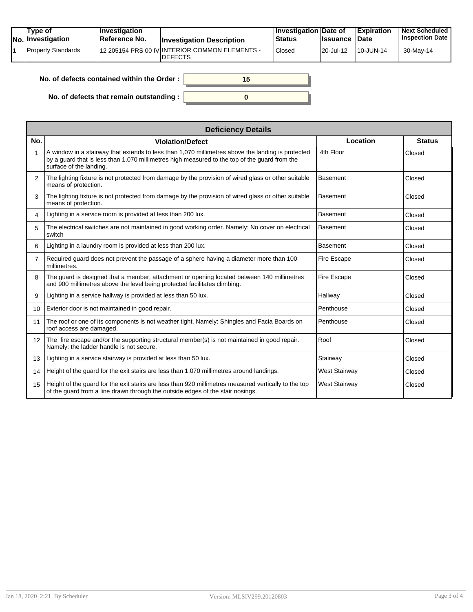| Tvpe of<br>No. Investigation | $\blacksquare$ Investigation<br>Reference No. | <b>Investigation Description</b>                                 | <b>Investigation Date of</b><br><b>Status</b> | <b>Issuance</b> | <b>Expiration</b><br>Date | <b>Next Scheduled</b><br><b>Inspection Date</b> |
|------------------------------|-----------------------------------------------|------------------------------------------------------------------|-----------------------------------------------|-----------------|---------------------------|-------------------------------------------------|
| Property Standards           |                                               | 12 205154 PRS 00 IV INTERIOR COMMON ELEMENTS -<br><b>DEFECTS</b> | Closed                                        | 20-Jul-12       | 10-JUN-14                 | 30-May-14                                       |

| No. of defects contained within the Order: | 15 |
|--------------------------------------------|----|
| No. of defects that remain outstanding :   |    |

|                | <b>Deficiency Details</b>                                                                                                                                                                                                     |                      |               |  |  |  |  |  |
|----------------|-------------------------------------------------------------------------------------------------------------------------------------------------------------------------------------------------------------------------------|----------------------|---------------|--|--|--|--|--|
| No.            | <b>Violation/Defect</b>                                                                                                                                                                                                       | Location             | <b>Status</b> |  |  |  |  |  |
| 1              | A window in a stairway that extends to less than 1,070 millimetres above the landing is protected<br>by a quard that is less than 1,070 millimetres high measured to the top of the quard from the<br>surface of the landing. | 4th Floor            | Closed        |  |  |  |  |  |
| 2              | The lighting fixture is not protected from damage by the provision of wired glass or other suitable<br>means of protection.                                                                                                   | <b>Basement</b>      | Closed        |  |  |  |  |  |
| 3              | The lighting fixture is not protected from damage by the provision of wired glass or other suitable<br>means of protection.                                                                                                   | <b>Basement</b>      | Closed        |  |  |  |  |  |
| 4              | Lighting in a service room is provided at less than 200 lux.                                                                                                                                                                  | <b>Basement</b>      | Closed        |  |  |  |  |  |
| 5              | The electrical switches are not maintained in good working order. Namely: No cover on electrical<br>switch                                                                                                                    | <b>Basement</b>      | Closed        |  |  |  |  |  |
| 6              | Lighting in a laundry room is provided at less than 200 lux.                                                                                                                                                                  | <b>Basement</b>      | Closed        |  |  |  |  |  |
| $\overline{7}$ | Required guard does not prevent the passage of a sphere having a diameter more than 100<br>millimetres.                                                                                                                       | Fire Escape          | Closed        |  |  |  |  |  |
| 8              | The guard is designed that a member, attachment or opening located between 140 millimetres<br>and 900 millimetres above the level being protected facilitates climbing.                                                       | Fire Escape          | Closed        |  |  |  |  |  |
| 9              | Lighting in a service hallway is provided at less than 50 lux.                                                                                                                                                                | Hallway              | Closed        |  |  |  |  |  |
| 10             | Exterior door is not maintained in good repair.                                                                                                                                                                               | Penthouse            | Closed        |  |  |  |  |  |
| 11             | The roof or one of its components is not weather tight. Namely: Shingles and Facia Boards on<br>roof access are damaged.                                                                                                      | Penthouse            | Closed        |  |  |  |  |  |
| 12             | The fire escape and/or the supporting structural member(s) is not maintained in good repair.<br>Namely: the ladder handle is not secure.                                                                                      | Roof                 | Closed        |  |  |  |  |  |
| 13             | Lighting in a service stairway is provided at less than 50 lux.                                                                                                                                                               | Stairway             | Closed        |  |  |  |  |  |
| 14             | Height of the guard for the exit stairs are less than 1,070 millimetres around landings.                                                                                                                                      | <b>West Stairway</b> | Closed        |  |  |  |  |  |
| 15             | Height of the guard for the exit stairs are less than 920 millimetres measured vertically to the top<br>of the guard from a line drawn through the outside edges of the stair nosings.                                        | <b>West Stairway</b> | Closed        |  |  |  |  |  |